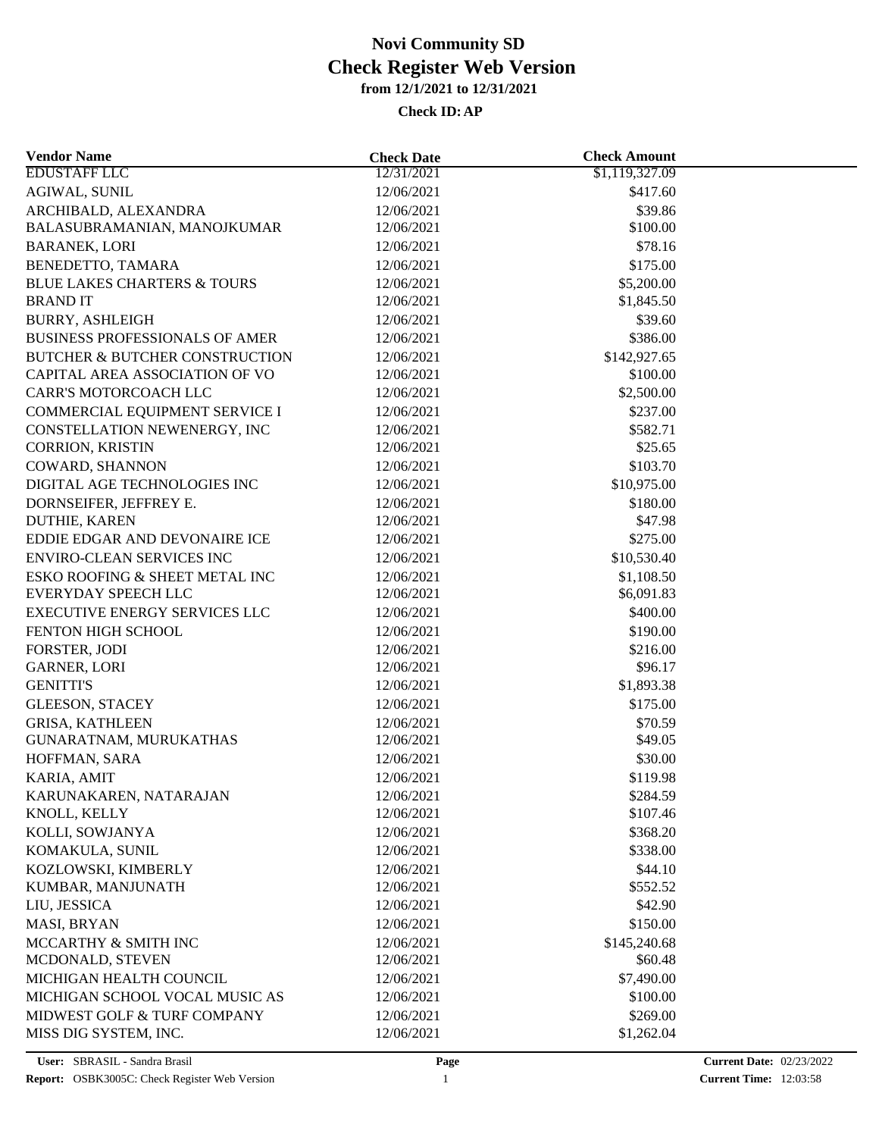| <b>Vendor Name</b>                        | <b>Check Date</b>        | <b>Check Amount</b> |  |
|-------------------------------------------|--------------------------|---------------------|--|
| <b>EDUSTAFF LLC</b>                       | 12/31/2021               | \$1,119,327.09      |  |
| <b>AGIWAL, SUNIL</b>                      | 12/06/2021               | \$417.60            |  |
| ARCHIBALD, ALEXANDRA                      | 12/06/2021               | \$39.86             |  |
| BALASUBRAMANIAN, MANOJKUMAR               | 12/06/2021               | \$100.00            |  |
| <b>BARANEK, LORI</b>                      | 12/06/2021               | \$78.16             |  |
| BENEDETTO, TAMARA                         | 12/06/2021               | \$175.00            |  |
| <b>BLUE LAKES CHARTERS &amp; TOURS</b>    | 12/06/2021               | \$5,200.00          |  |
| <b>BRANDIT</b>                            | 12/06/2021               | \$1,845.50          |  |
| <b>BURRY, ASHLEIGH</b>                    | 12/06/2021               | \$39.60             |  |
| <b>BUSINESS PROFESSIONALS OF AMER</b>     | 12/06/2021               | \$386.00            |  |
| <b>BUTCHER &amp; BUTCHER CONSTRUCTION</b> | 12/06/2021               | \$142,927.65        |  |
| CAPITAL AREA ASSOCIATION OF VO            | 12/06/2021               | \$100.00            |  |
| CARR'S MOTORCOACH LLC                     | 12/06/2021               | \$2,500.00          |  |
| COMMERCIAL EQUIPMENT SERVICE I            | 12/06/2021               | \$237.00            |  |
| CONSTELLATION NEWENERGY, INC              | 12/06/2021               | \$582.71            |  |
| CORRION, KRISTIN                          | 12/06/2021               | \$25.65             |  |
| COWARD, SHANNON                           | 12/06/2021               | \$103.70            |  |
| DIGITAL AGE TECHNOLOGIES INC              | 12/06/2021               | \$10,975.00         |  |
| DORNSEIFER, JEFFREY E.                    | 12/06/2021               | \$180.00            |  |
| DUTHIE, KAREN                             | 12/06/2021               | \$47.98             |  |
| EDDIE EDGAR AND DEVONAIRE ICE             | 12/06/2021               | \$275.00            |  |
| <b>ENVIRO-CLEAN SERVICES INC</b>          | 12/06/2021               | \$10,530.40         |  |
| ESKO ROOFING & SHEET METAL INC            | 12/06/2021               | \$1,108.50          |  |
| EVERYDAY SPEECH LLC                       | 12/06/2021               | \$6,091.83          |  |
| <b>EXECUTIVE ENERGY SERVICES LLC</b>      | 12/06/2021               | \$400.00            |  |
| FENTON HIGH SCHOOL                        | 12/06/2021               | \$190.00            |  |
| FORSTER, JODI                             | 12/06/2021               | \$216.00            |  |
| <b>GARNER, LORI</b>                       | 12/06/2021               | \$96.17             |  |
| <b>GENITTI'S</b>                          | 12/06/2021               | \$1,893.38          |  |
| <b>GLEESON, STACEY</b>                    | 12/06/2021               | \$175.00            |  |
| <b>GRISA, KATHLEEN</b>                    | 12/06/2021               | \$70.59             |  |
| GUNARATNAM, MURUKATHAS                    | 12/06/2021               | \$49.05             |  |
| HOFFMAN, SARA                             | 12/06/2021               | \$30.00             |  |
| KARIA, AMIT                               | 12/06/2021               | \$119.98            |  |
| KARUNAKAREN, NATARAJAN                    | 12/06/2021               | \$284.59            |  |
| KNOLL, KELLY                              | 12/06/2021               | \$107.46            |  |
| KOLLI, SOWJANYA                           | 12/06/2021               | \$368.20            |  |
| KOMAKULA, SUNIL                           |                          | \$338.00            |  |
|                                           | 12/06/2021               |                     |  |
| KOZLOWSKI, KIMBERLY                       | 12/06/2021<br>12/06/2021 | \$44.10             |  |
| KUMBAR, MANJUNATH                         |                          | \$552.52            |  |
| LIU, JESSICA                              | 12/06/2021               | \$42.90             |  |
| MASI, BRYAN                               | 12/06/2021               | \$150.00            |  |
| MCCARTHY & SMITH INC                      | 12/06/2021               | \$145,240.68        |  |
| MCDONALD, STEVEN                          | 12/06/2021               | \$60.48             |  |
| MICHIGAN HEALTH COUNCIL                   | 12/06/2021               | \$7,490.00          |  |
| MICHIGAN SCHOOL VOCAL MUSIC AS            | 12/06/2021               | \$100.00            |  |
| MIDWEST GOLF & TURF COMPANY               | 12/06/2021               | \$269.00            |  |
| MISS DIG SYSTEM, INC.                     | 12/06/2021               | \$1,262.04          |  |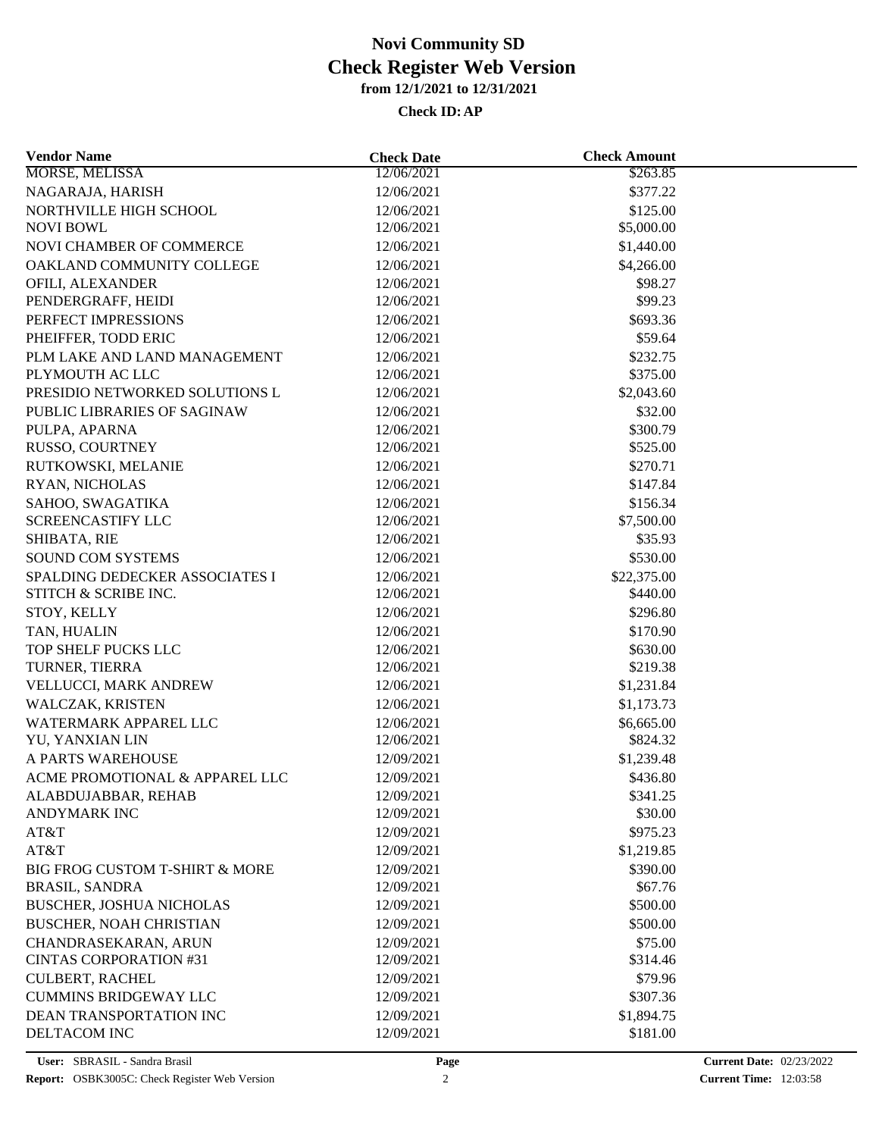| <b>Vendor Name</b>             | <b>Check Date</b> | <b>Check Amount</b> |  |
|--------------------------------|-------------------|---------------------|--|
| <b>MORSE, MELISSA</b>          | 12/06/2021        | \$263.85            |  |
| NAGARAJA, HARISH               | 12/06/2021        | \$377.22            |  |
| NORTHVILLE HIGH SCHOOL         | 12/06/2021        | \$125.00            |  |
| <b>NOVI BOWL</b>               | 12/06/2021        | \$5,000.00          |  |
| NOVI CHAMBER OF COMMERCE       | 12/06/2021        | \$1,440.00          |  |
| OAKLAND COMMUNITY COLLEGE      | 12/06/2021        | \$4,266.00          |  |
| OFILI, ALEXANDER               | 12/06/2021        | \$98.27             |  |
| PENDERGRAFF, HEIDI             | 12/06/2021        | \$99.23             |  |
| PERFECT IMPRESSIONS            | 12/06/2021        | \$693.36            |  |
| PHEIFFER, TODD ERIC            | 12/06/2021        | \$59.64             |  |
| PLM LAKE AND LAND MANAGEMENT   | 12/06/2021        | \$232.75            |  |
| PLYMOUTH AC LLC                | 12/06/2021        | \$375.00            |  |
| PRESIDIO NETWORKED SOLUTIONS L | 12/06/2021        | \$2,043.60          |  |
| PUBLIC LIBRARIES OF SAGINAW    | 12/06/2021        | \$32.00             |  |
| PULPA, APARNA                  | 12/06/2021        | \$300.79            |  |
| RUSSO, COURTNEY                | 12/06/2021        | \$525.00            |  |
| RUTKOWSKI, MELANIE             | 12/06/2021        | \$270.71            |  |
| RYAN, NICHOLAS                 | 12/06/2021        | \$147.84            |  |
| SAHOO, SWAGATIKA               | 12/06/2021        | \$156.34            |  |
| <b>SCREENCASTIFY LLC</b>       | 12/06/2021        | \$7,500.00          |  |
| SHIBATA, RIE                   | 12/06/2021        | \$35.93             |  |
| <b>SOUND COM SYSTEMS</b>       | 12/06/2021        | \$530.00            |  |
| SPALDING DEDECKER ASSOCIATES I | 12/06/2021        | \$22,375.00         |  |
| STITCH & SCRIBE INC.           | 12/06/2021        | \$440.00            |  |
| STOY, KELLY                    | 12/06/2021        | \$296.80            |  |
| TAN, HUALIN                    | 12/06/2021        | \$170.90            |  |
| TOP SHELF PUCKS LLC            | 12/06/2021        | \$630.00            |  |
| TURNER, TIERRA                 | 12/06/2021        | \$219.38            |  |
| VELLUCCI, MARK ANDREW          | 12/06/2021        | \$1,231.84          |  |
| WALCZAK, KRISTEN               | 12/06/2021        | \$1,173.73          |  |
| WATERMARK APPAREL LLC          | 12/06/2021        | \$6,665.00          |  |
| YU, YANXIAN LIN                | 12/06/2021        | \$824.32            |  |
| A PARTS WAREHOUSE              | 12/09/2021        | \$1,239.48          |  |
| ACME PROMOTIONAL & APPAREL LLC | 12/09/2021        | \$436.80            |  |
| ALABDUJABBAR, REHAB            | 12/09/2021        | \$341.25            |  |
| <b>ANDYMARK INC</b>            | 12/09/2021        | \$30.00             |  |
| AT&T                           | 12/09/2021        | \$975.23            |  |
| AT&T                           | 12/09/2021        | \$1,219.85          |  |
| BIG FROG CUSTOM T-SHIRT & MORE | 12/09/2021        | \$390.00            |  |
| <b>BRASIL, SANDRA</b>          | 12/09/2021        | \$67.76             |  |
| BUSCHER, JOSHUA NICHOLAS       | 12/09/2021        | \$500.00            |  |
| BUSCHER, NOAH CHRISTIAN        | 12/09/2021        | \$500.00            |  |
| CHANDRASEKARAN, ARUN           | 12/09/2021        | \$75.00             |  |
| <b>CINTAS CORPORATION #31</b>  | 12/09/2021        | \$314.46            |  |
| <b>CULBERT, RACHEL</b>         | 12/09/2021        | \$79.96             |  |
| <b>CUMMINS BRIDGEWAY LLC</b>   | 12/09/2021        | \$307.36            |  |
| DEAN TRANSPORTATION INC        | 12/09/2021        | \$1,894.75          |  |
| DELTACOM INC                   | 12/09/2021        | \$181.00            |  |
|                                |                   |                     |  |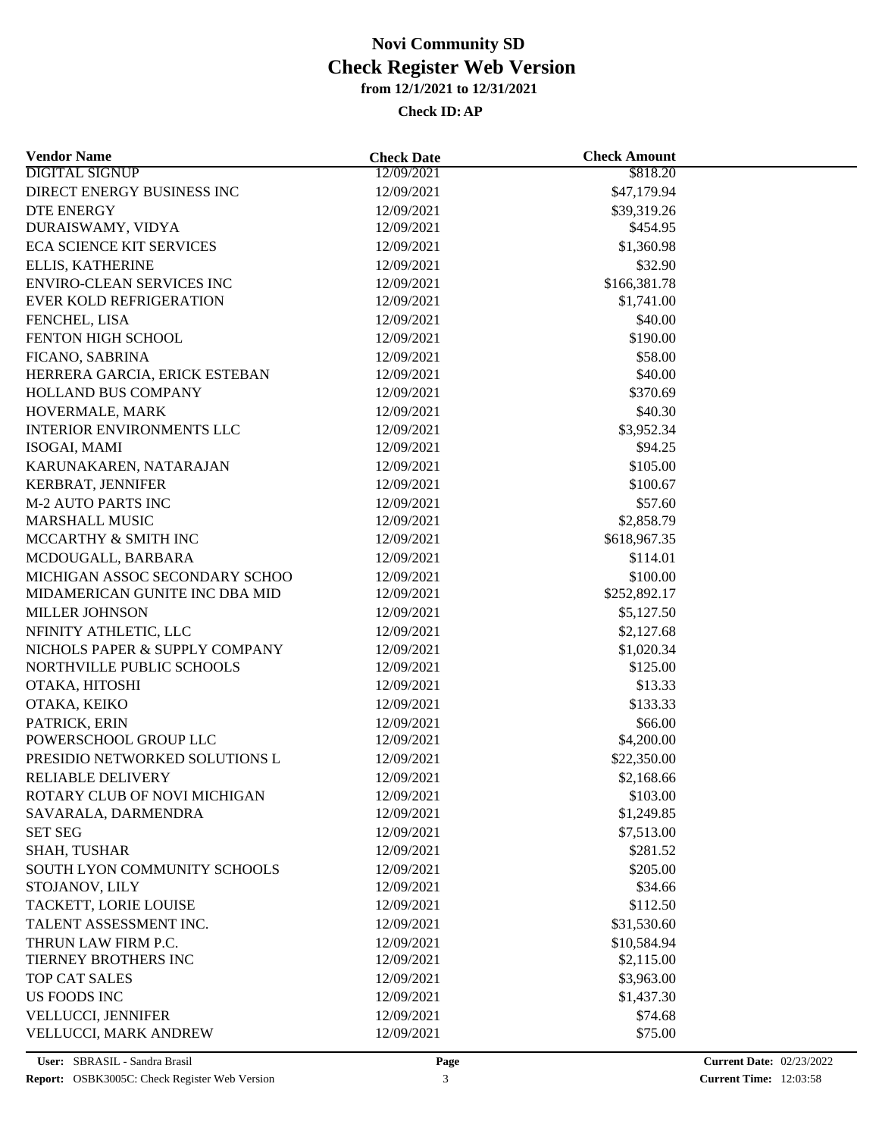| <b>Vendor Name</b>                             | <b>Check Date</b> | <b>Check Amount</b>    |  |
|------------------------------------------------|-------------------|------------------------|--|
| <b>DIGITAL SIGNUP</b>                          | 12/09/2021        | \$818.20               |  |
| DIRECT ENERGY BUSINESS INC                     | 12/09/2021        | \$47,179.94            |  |
| <b>DTE ENERGY</b>                              | 12/09/2021        | \$39,319.26            |  |
| DURAISWAMY, VIDYA                              | 12/09/2021        | \$454.95               |  |
| <b>ECA SCIENCE KIT SERVICES</b>                | 12/09/2021        | \$1,360.98             |  |
| ELLIS, KATHERINE                               | 12/09/2021        | \$32.90                |  |
| <b>ENVIRO-CLEAN SERVICES INC</b>               | 12/09/2021        | \$166,381.78           |  |
| <b>EVER KOLD REFRIGERATION</b>                 | 12/09/2021        | \$1,741.00             |  |
| FENCHEL, LISA                                  | 12/09/2021        | \$40.00                |  |
| FENTON HIGH SCHOOL                             | 12/09/2021        | \$190.00               |  |
| FICANO, SABRINA                                | 12/09/2021        | \$58.00                |  |
| HERRERA GARCIA, ERICK ESTEBAN                  | 12/09/2021        | \$40.00                |  |
| HOLLAND BUS COMPANY                            | 12/09/2021        | \$370.69               |  |
| HOVERMALE, MARK                                | 12/09/2021        | \$40.30                |  |
| <b>INTERIOR ENVIRONMENTS LLC</b>               | 12/09/2021        | \$3,952.34             |  |
| ISOGAI, MAMI                                   | 12/09/2021        | \$94.25                |  |
| KARUNAKAREN, NATARAJAN                         | 12/09/2021        | \$105.00               |  |
| KERBRAT, JENNIFER                              | 12/09/2021        | \$100.67               |  |
| <b>M-2 AUTO PARTS INC</b>                      | 12/09/2021        | \$57.60                |  |
| <b>MARSHALL MUSIC</b>                          | 12/09/2021        | \$2,858.79             |  |
| MCCARTHY & SMITH INC                           | 12/09/2021        | \$618,967.35           |  |
| MCDOUGALL, BARBARA                             | 12/09/2021        | \$114.01               |  |
| MICHIGAN ASSOC SECONDARY SCHOO                 | 12/09/2021        | \$100.00               |  |
| MIDAMERICAN GUNITE INC DBA MID                 | 12/09/2021        | \$252,892.17           |  |
| MILLER JOHNSON                                 | 12/09/2021        | \$5,127.50             |  |
| NFINITY ATHLETIC, LLC                          | 12/09/2021        | \$2,127.68             |  |
| NICHOLS PAPER & SUPPLY COMPANY                 | 12/09/2021        | \$1,020.34             |  |
| NORTHVILLE PUBLIC SCHOOLS                      | 12/09/2021        | \$125.00               |  |
| OTAKA, HITOSHI                                 | 12/09/2021        | \$13.33                |  |
| OTAKA, KEIKO                                   | 12/09/2021        | \$133.33               |  |
| PATRICK, ERIN                                  | 12/09/2021        | \$66.00                |  |
| POWERSCHOOL GROUP LLC                          | 12/09/2021        | \$4,200.00             |  |
| PRESIDIO NETWORKED SOLUTIONS L                 | 12/09/2021        | \$22,350.00            |  |
| <b>RELIABLE DELIVERY</b>                       | 12/09/2021        | \$2,168.66             |  |
| ROTARY CLUB OF NOVI MICHIGAN                   | 12/09/2021        |                        |  |
| SAVARALA, DARMENDRA                            | 12/09/2021        | \$103.00<br>\$1,249.85 |  |
| <b>SET SEG</b>                                 |                   | \$7,513.00             |  |
|                                                | 12/09/2021        |                        |  |
| SHAH, TUSHAR                                   | 12/09/2021        | \$281.52               |  |
| SOUTH LYON COMMUNITY SCHOOLS<br>STOJANOV, LILY | 12/09/2021        | \$205.00               |  |
|                                                | 12/09/2021        | \$34.66                |  |
| TACKETT, LORIE LOUISE                          | 12/09/2021        | \$112.50               |  |
| TALENT ASSESSMENT INC.                         | 12/09/2021        | \$31,530.60            |  |
| THRUN LAW FIRM P.C.                            | 12/09/2021        | \$10,584.94            |  |
| TIERNEY BROTHERS INC                           | 12/09/2021        | \$2,115.00             |  |
| <b>TOP CAT SALES</b>                           | 12/09/2021        | \$3,963.00             |  |
| <b>US FOODS INC</b>                            | 12/09/2021        | \$1,437.30             |  |
| VELLUCCI, JENNIFER                             | 12/09/2021        | \$74.68                |  |
| VELLUCCI, MARK ANDREW                          | 12/09/2021        | \$75.00                |  |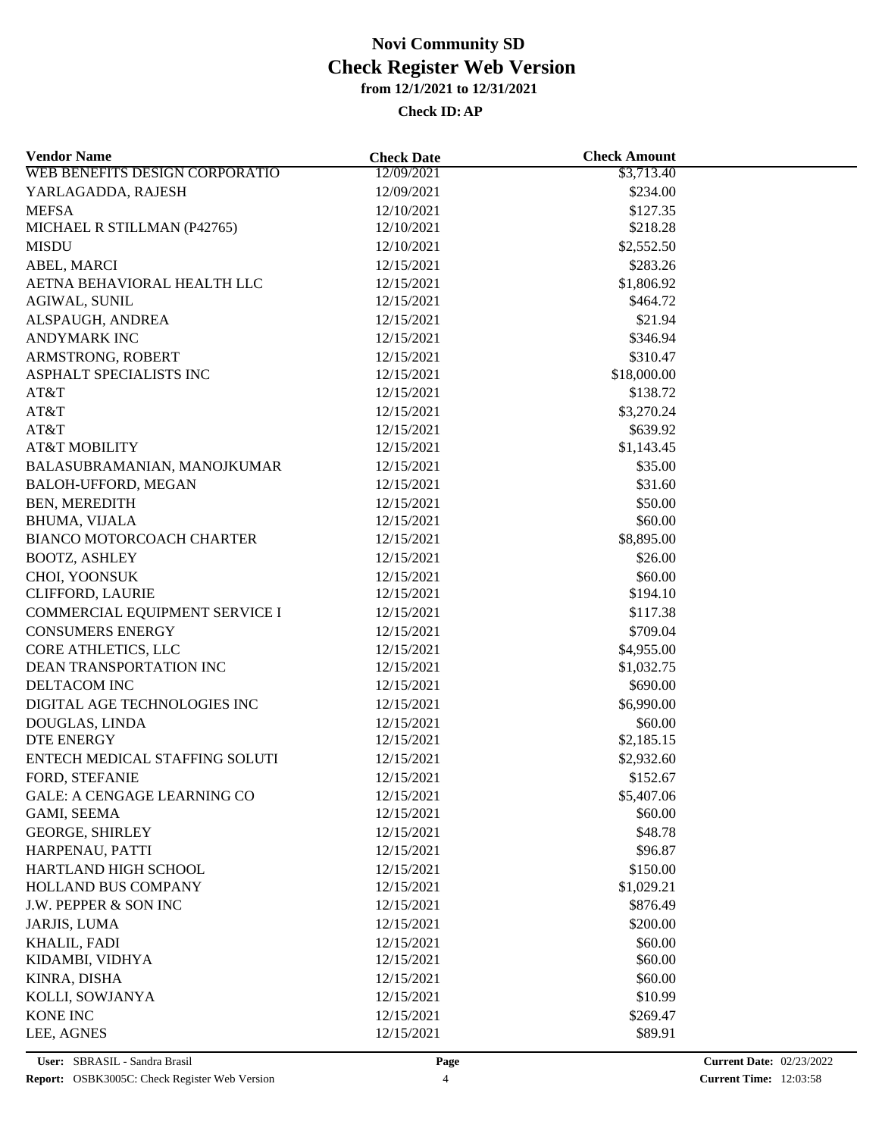**Check ID:AP**

| <b>Vendor Name</b>                 | <b>Check Date</b> | <b>Check Amount</b> |  |
|------------------------------------|-------------------|---------------------|--|
| WEB BENEFITS DESIGN CORPORATIO     | 12/09/2021        | \$3,713.40          |  |
| YARLAGADDA, RAJESH                 | 12/09/2021        | \$234.00            |  |
| <b>MEFSA</b>                       | 12/10/2021        | \$127.35            |  |
| MICHAEL R STILLMAN (P42765)        | 12/10/2021        | \$218.28            |  |
| <b>MISDU</b>                       | 12/10/2021        | \$2,552.50          |  |
| ABEL, MARCI                        | 12/15/2021        | \$283.26            |  |
| AETNA BEHAVIORAL HEALTH LLC        | 12/15/2021        | \$1,806.92          |  |
| AGIWAL, SUNIL                      | 12/15/2021        | \$464.72            |  |
| ALSPAUGH, ANDREA                   | 12/15/2021        | \$21.94             |  |
| <b>ANDYMARK INC</b>                | 12/15/2021        | \$346.94            |  |
| ARMSTRONG, ROBERT                  | 12/15/2021        | \$310.47            |  |
| ASPHALT SPECIALISTS INC            | 12/15/2021        | \$18,000.00         |  |
| AT&T                               | 12/15/2021        | \$138.72            |  |
| AT&T                               | 12/15/2021        | \$3,270.24          |  |
| AT&T                               | 12/15/2021        | \$639.92            |  |
| <b>AT&amp;T MOBILITY</b>           | 12/15/2021        | \$1,143.45          |  |
| BALASUBRAMANIAN, MANOJKUMAR        | 12/15/2021        | \$35.00             |  |
| BALOH-UFFORD, MEGAN                | 12/15/2021        | \$31.60             |  |
| BEN, MEREDITH                      | 12/15/2021        | \$50.00             |  |
| <b>BHUMA, VIJALA</b>               | 12/15/2021        | \$60.00             |  |
| BIANCO MOTORCOACH CHARTER          | 12/15/2021        | \$8,895.00          |  |
| <b>BOOTZ, ASHLEY</b>               | 12/15/2021        | \$26.00             |  |
| CHOI, YOONSUK                      | 12/15/2021        | \$60.00             |  |
| <b>CLIFFORD, LAURIE</b>            | 12/15/2021        | \$194.10            |  |
| COMMERCIAL EQUIPMENT SERVICE I     | 12/15/2021        | \$117.38            |  |
| <b>CONSUMERS ENERGY</b>            |                   | \$709.04            |  |
|                                    | 12/15/2021        |                     |  |
| CORE ATHLETICS, LLC                | 12/15/2021        | \$4,955.00          |  |
| DEAN TRANSPORTATION INC            | 12/15/2021        | \$1,032.75          |  |
| DELTACOM INC                       | 12/15/2021        | \$690.00            |  |
| DIGITAL AGE TECHNOLOGIES INC       | 12/15/2021        | \$6,990.00          |  |
| DOUGLAS, LINDA                     | 12/15/2021        | \$60.00             |  |
| <b>DTE ENERGY</b>                  | 12/15/2021        | \$2,185.15          |  |
| ENTECH MEDICAL STAFFING SOLUTI     | 12/15/2021        | \$2,932.60          |  |
| FORD, STEFANIE                     | 12/15/2021        | \$152.67            |  |
| <b>GALE: A CENGAGE LEARNING CO</b> | 12/15/2021        | \$5,407.06          |  |
| GAMI, SEEMA                        | 12/15/2021        | \$60.00             |  |
| <b>GEORGE, SHIRLEY</b>             | 12/15/2021        | \$48.78             |  |
| HARPENAU, PATTI                    | 12/15/2021        | \$96.87             |  |
| HARTLAND HIGH SCHOOL               | 12/15/2021        | \$150.00            |  |
| HOLLAND BUS COMPANY                | 12/15/2021        | \$1,029.21          |  |
| J.W. PEPPER & SON INC              | 12/15/2021        | \$876.49            |  |
| JARJIS, LUMA                       | 12/15/2021        | \$200.00            |  |
| KHALIL, FADI                       | 12/15/2021        | \$60.00             |  |
| KIDAMBI, VIDHYA                    | 12/15/2021        | \$60.00             |  |
| KINRA, DISHA                       | 12/15/2021        | \$60.00             |  |
| KOLLI, SOWJANYA                    | 12/15/2021        | \$10.99             |  |
| KONE INC                           | 12/15/2021        | \$269.47            |  |
| LEE, AGNES                         | 12/15/2021        | \$89.91             |  |
|                                    |                   |                     |  |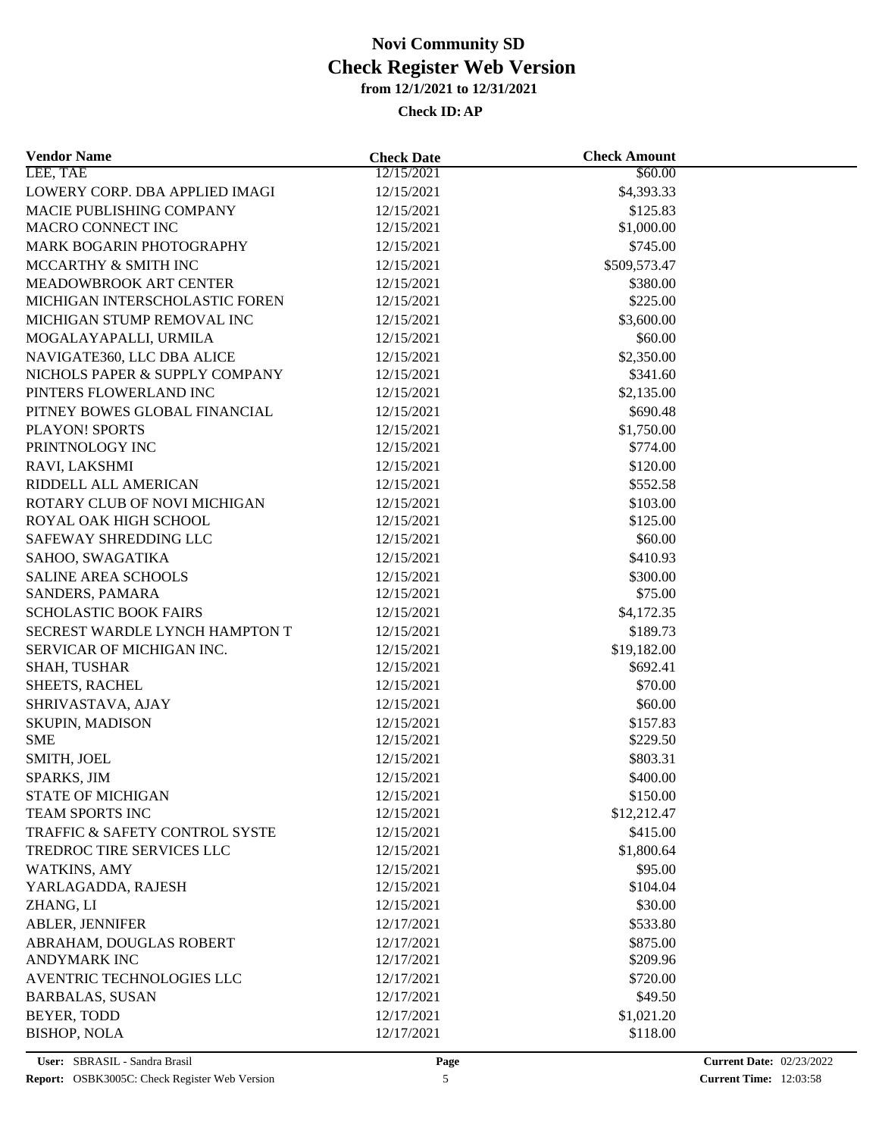| <b>Vendor Name</b>             | <b>Check Date</b> | <b>Check Amount</b> |  |
|--------------------------------|-------------------|---------------------|--|
| LEE, TAE                       | 12/15/2021        | \$60.00             |  |
| LOWERY CORP. DBA APPLIED IMAGI | 12/15/2021        | \$4,393.33          |  |
| MACIE PUBLISHING COMPANY       | 12/15/2021        | \$125.83            |  |
| <b>MACRO CONNECT INC</b>       | 12/15/2021        | \$1,000.00          |  |
| MARK BOGARIN PHOTOGRAPHY       | 12/15/2021        | \$745.00            |  |
| MCCARTHY & SMITH INC           | 12/15/2021        | \$509,573.47        |  |
| MEADOWBROOK ART CENTER         | 12/15/2021        | \$380.00            |  |
| MICHIGAN INTERSCHOLASTIC FOREN | 12/15/2021        | \$225.00            |  |
| MICHIGAN STUMP REMOVAL INC     | 12/15/2021        | \$3,600.00          |  |
| MOGALAYAPALLI, URMILA          | 12/15/2021        | \$60.00             |  |
| NAVIGATE360, LLC DBA ALICE     | 12/15/2021        | \$2,350.00          |  |
| NICHOLS PAPER & SUPPLY COMPANY | 12/15/2021        | \$341.60            |  |
| PINTERS FLOWERLAND INC         | 12/15/2021        | \$2,135.00          |  |
| PITNEY BOWES GLOBAL FINANCIAL  | 12/15/2021        | \$690.48            |  |
| PLAYON! SPORTS                 | 12/15/2021        | \$1,750.00          |  |
| PRINTNOLOGY INC                | 12/15/2021        | \$774.00            |  |
| RAVI, LAKSHMI                  | 12/15/2021        | \$120.00            |  |
| RIDDELL ALL AMERICAN           | 12/15/2021        | \$552.58            |  |
| ROTARY CLUB OF NOVI MICHIGAN   | 12/15/2021        | \$103.00            |  |
| ROYAL OAK HIGH SCHOOL          | 12/15/2021        | \$125.00            |  |
| SAFEWAY SHREDDING LLC          | 12/15/2021        | \$60.00             |  |
| SAHOO, SWAGATIKA               |                   |                     |  |
|                                | 12/15/2021        | \$410.93            |  |
| <b>SALINE AREA SCHOOLS</b>     | 12/15/2021        | \$300.00            |  |
| SANDERS, PAMARA                | 12/15/2021        | \$75.00             |  |
| <b>SCHOLASTIC BOOK FAIRS</b>   | 12/15/2021        | \$4,172.35          |  |
| SECREST WARDLE LYNCH HAMPTON T | 12/15/2021        | \$189.73            |  |
| SERVICAR OF MICHIGAN INC.      | 12/15/2021        | \$19,182.00         |  |
| SHAH, TUSHAR                   | 12/15/2021        | \$692.41            |  |
| SHEETS, RACHEL                 | 12/15/2021        | \$70.00             |  |
| SHRIVASTAVA, AJAY              | 12/15/2021        | \$60.00             |  |
| SKUPIN, MADISON                | 12/15/2021        | \$157.83            |  |
| <b>SME</b>                     | 12/15/2021        | \$229.50            |  |
| SMITH, JOEL                    | 12/15/2021        | \$803.31            |  |
| SPARKS, JIM                    | 12/15/2021        | \$400.00            |  |
| <b>STATE OF MICHIGAN</b>       | 12/15/2021        | \$150.00            |  |
| TEAM SPORTS INC                | 12/15/2021        | \$12,212.47         |  |
| TRAFFIC & SAFETY CONTROL SYSTE | 12/15/2021        | \$415.00            |  |
| TREDROC TIRE SERVICES LLC      | 12/15/2021        | \$1,800.64          |  |
| WATKINS, AMY                   | 12/15/2021        | \$95.00             |  |
| YARLAGADDA, RAJESH             | 12/15/2021        | \$104.04            |  |
| ZHANG, LI                      | 12/15/2021        | \$30.00             |  |
| ABLER, JENNIFER                | 12/17/2021        | \$533.80            |  |
| ABRAHAM, DOUGLAS ROBERT        | 12/17/2021        | \$875.00            |  |
| <b>ANDYMARK INC</b>            | 12/17/2021        | \$209.96            |  |
| AVENTRIC TECHNOLOGIES LLC      | 12/17/2021        | \$720.00            |  |
| <b>BARBALAS, SUSAN</b>         | 12/17/2021        | \$49.50             |  |
| BEYER, TODD                    | 12/17/2021        | \$1,021.20          |  |
| <b>BISHOP, NOLA</b>            | 12/17/2021        | \$118.00            |  |
|                                |                   |                     |  |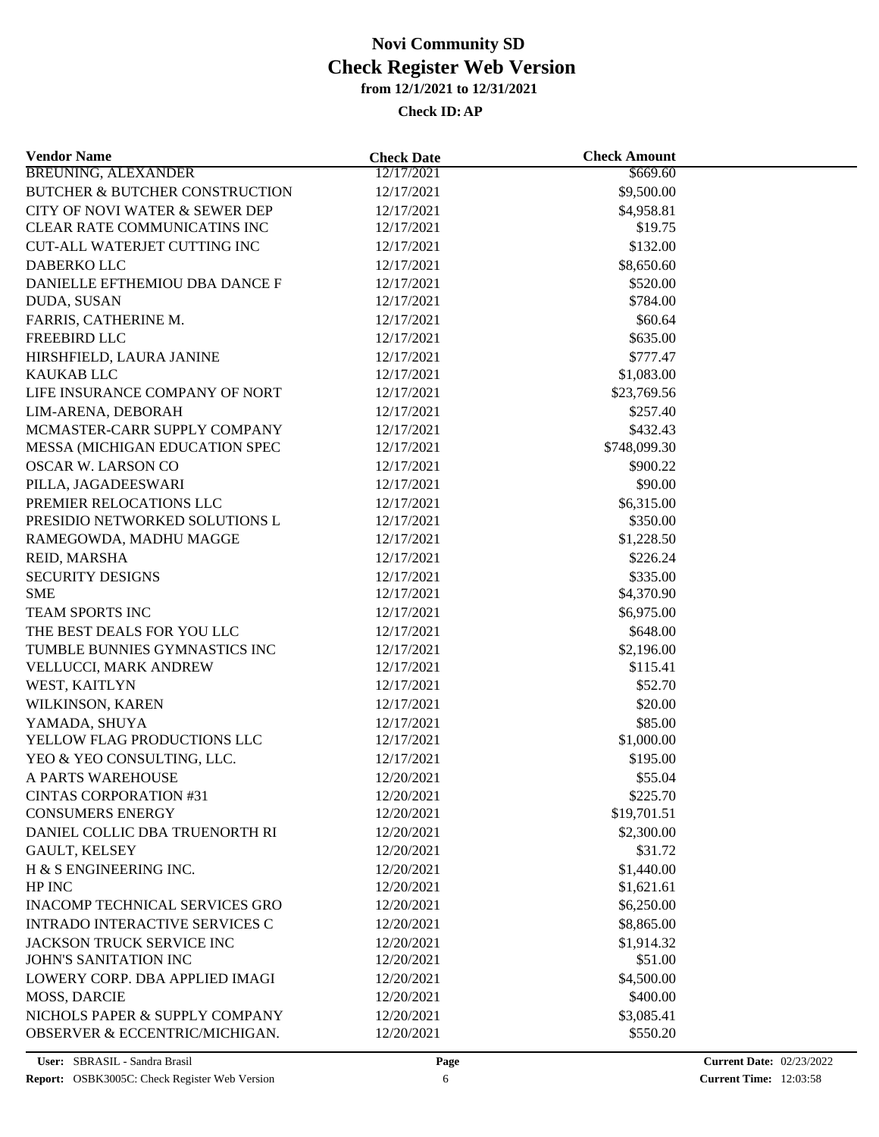**Check ID:AP**

| <b>Vendor Name</b>                        | <b>Check Date</b> | <b>Check Amount</b> |  |
|-------------------------------------------|-------------------|---------------------|--|
| <b>BREUNING, ALEXANDER</b>                | 12/17/2021        | \$669.60            |  |
| <b>BUTCHER &amp; BUTCHER CONSTRUCTION</b> | 12/17/2021        | \$9,500.00          |  |
| CITY OF NOVI WATER & SEWER DEP            | 12/17/2021        | \$4,958.81          |  |
| CLEAR RATE COMMUNICATINS INC              | 12/17/2021        | \$19.75             |  |
| <b>CUT-ALL WATERJET CUTTING INC</b>       | 12/17/2021        | \$132.00            |  |
| DABERKO LLC                               | 12/17/2021        | \$8,650.60          |  |
| DANIELLE EFTHEMIOU DBA DANCE F            | 12/17/2021        | \$520.00            |  |
| DUDA, SUSAN                               | 12/17/2021        | \$784.00            |  |
| FARRIS, CATHERINE M.                      | 12/17/2021        | \$60.64             |  |
| FREEBIRD LLC                              | 12/17/2021        | \$635.00            |  |
| HIRSHFIELD, LAURA JANINE                  | 12/17/2021        | \$777.47            |  |
| <b>KAUKAB LLC</b>                         | 12/17/2021        | \$1,083.00          |  |
| LIFE INSURANCE COMPANY OF NORT            | 12/17/2021        | \$23,769.56         |  |
| LIM-ARENA, DEBORAH                        | 12/17/2021        | \$257.40            |  |
| MCMASTER-CARR SUPPLY COMPANY              | 12/17/2021        | \$432.43            |  |
| MESSA (MICHIGAN EDUCATION SPEC            | 12/17/2021        | \$748,099.30        |  |
| OSCAR W. LARSON CO                        | 12/17/2021        | \$900.22            |  |
| PILLA, JAGADEESWARI                       | 12/17/2021        | \$90.00             |  |
| PREMIER RELOCATIONS LLC                   | 12/17/2021        | \$6,315.00          |  |
| PRESIDIO NETWORKED SOLUTIONS L            | 12/17/2021        | \$350.00            |  |
| RAMEGOWDA, MADHU MAGGE                    |                   |                     |  |
|                                           | 12/17/2021        | \$1,228.50          |  |
| REID, MARSHA                              | 12/17/2021        | \$226.24            |  |
| <b>SECURITY DESIGNS</b><br><b>SME</b>     | 12/17/2021        | \$335.00            |  |
|                                           | 12/17/2021        | \$4,370.90          |  |
| TEAM SPORTS INC                           | 12/17/2021        | \$6,975.00          |  |
| THE BEST DEALS FOR YOU LLC                | 12/17/2021        | \$648.00            |  |
| TUMBLE BUNNIES GYMNASTICS INC             | 12/17/2021        | \$2,196.00          |  |
| VELLUCCI, MARK ANDREW                     | 12/17/2021        | \$115.41            |  |
| WEST, KAITLYN                             | 12/17/2021        | \$52.70             |  |
| WILKINSON, KAREN                          | 12/17/2021        | \$20.00             |  |
| YAMADA, SHUYA                             | 12/17/2021        | \$85.00             |  |
| YELLOW FLAG PRODUCTIONS LLC               | 12/17/2021        | \$1,000.00          |  |
| YEO & YEO CONSULTING, LLC.                | 12/17/2021        | \$195.00            |  |
| A PARTS WAREHOUSE                         | 12/20/2021        | \$55.04             |  |
| <b>CINTAS CORPORATION #31</b>             | 12/20/2021        | \$225.70            |  |
| <b>CONSUMERS ENERGY</b>                   | 12/20/2021        | \$19,701.51         |  |
| DANIEL COLLIC DBA TRUENORTH RI            | 12/20/2021        | \$2,300.00          |  |
| GAULT, KELSEY                             | 12/20/2021        | \$31.72             |  |
| H & S ENGINEERING INC.                    | 12/20/2021        | \$1,440.00          |  |
| HP INC                                    | 12/20/2021        | \$1,621.61          |  |
| <b>INACOMP TECHNICAL SERVICES GRO</b>     | 12/20/2021        | \$6,250.00          |  |
| <b>INTRADO INTERACTIVE SERVICES C</b>     | 12/20/2021        | \$8,865.00          |  |
| JACKSON TRUCK SERVICE INC                 | 12/20/2021        | \$1,914.32          |  |
| JOHN'S SANITATION INC                     | 12/20/2021        | \$51.00             |  |
| LOWERY CORP. DBA APPLIED IMAGI            | 12/20/2021        | \$4,500.00          |  |
| <b>MOSS, DARCIE</b>                       | 12/20/2021        | \$400.00            |  |
| NICHOLS PAPER & SUPPLY COMPANY            | 12/20/2021        | \$3,085.41          |  |
| OBSERVER & ECCENTRIC/MICHIGAN.            | 12/20/2021        | \$550.20            |  |
|                                           |                   |                     |  |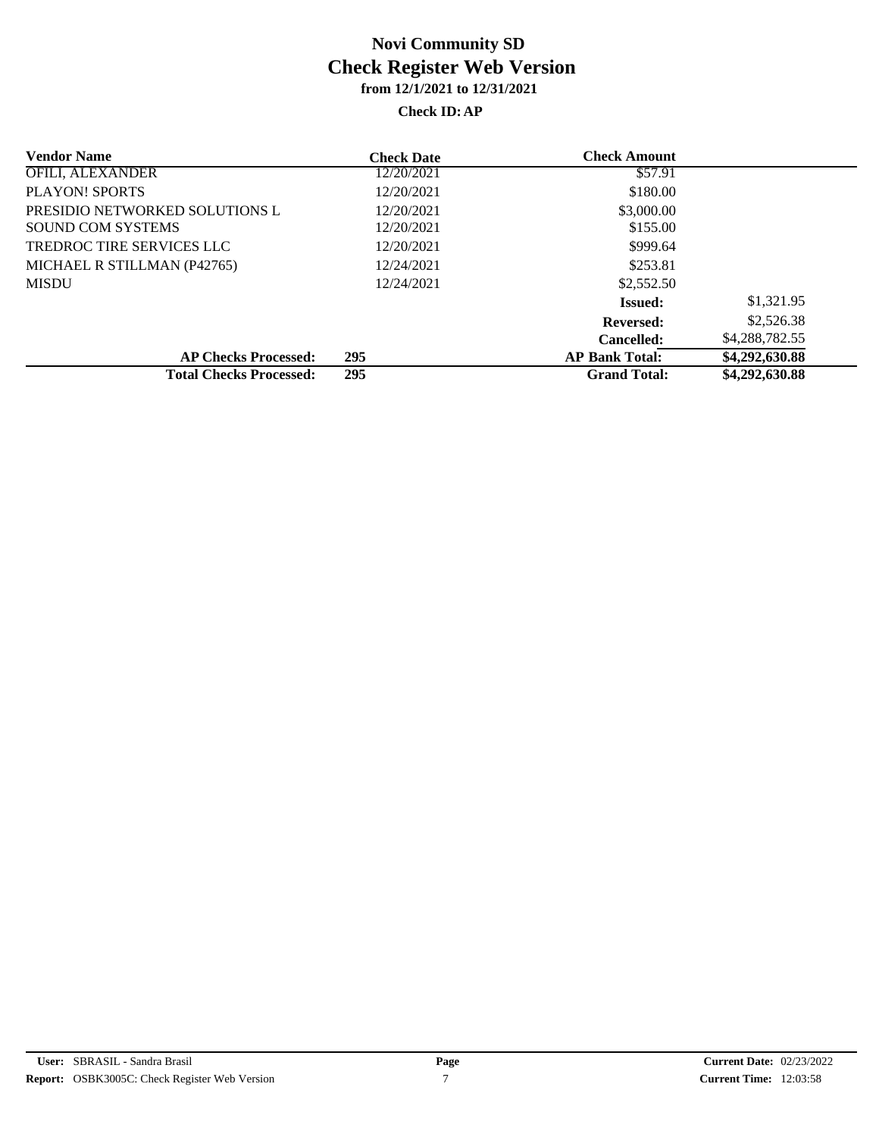#### **Check ID:AP**

| <b>Vendor Name</b>             | <b>Check Date</b> | <b>Check Amount</b>   |                |
|--------------------------------|-------------------|-----------------------|----------------|
| <b>OFILI, ALEXANDER</b>        | 12/20/2021        | \$57.91               |                |
| PLAYON! SPORTS                 | 12/20/2021        | \$180.00              |                |
| PRESIDIO NETWORKED SOLUTIONS L | 12/20/2021        | \$3,000.00            |                |
| <b>SOUND COM SYSTEMS</b>       | 12/20/2021        | \$155.00              |                |
| TREDROC TIRE SERVICES LLC      | 12/20/2021        | \$999.64              |                |
| MICHAEL R STILLMAN (P42765)    | 12/24/2021        | \$253.81              |                |
| <b>MISDU</b>                   | 12/24/2021        | \$2,552.50            |                |
|                                |                   | <b>Issued:</b>        | \$1,321.95     |
|                                |                   | <b>Reversed:</b>      | \$2,526.38     |
|                                |                   | <b>Cancelled:</b>     | \$4,288,782.55 |
| <b>AP Checks Processed:</b>    | 295               | <b>AP Bank Total:</b> | \$4,292,630.88 |
| <b>Total Checks Processed:</b> | 295               | <b>Grand Total:</b>   | \$4,292,630.88 |